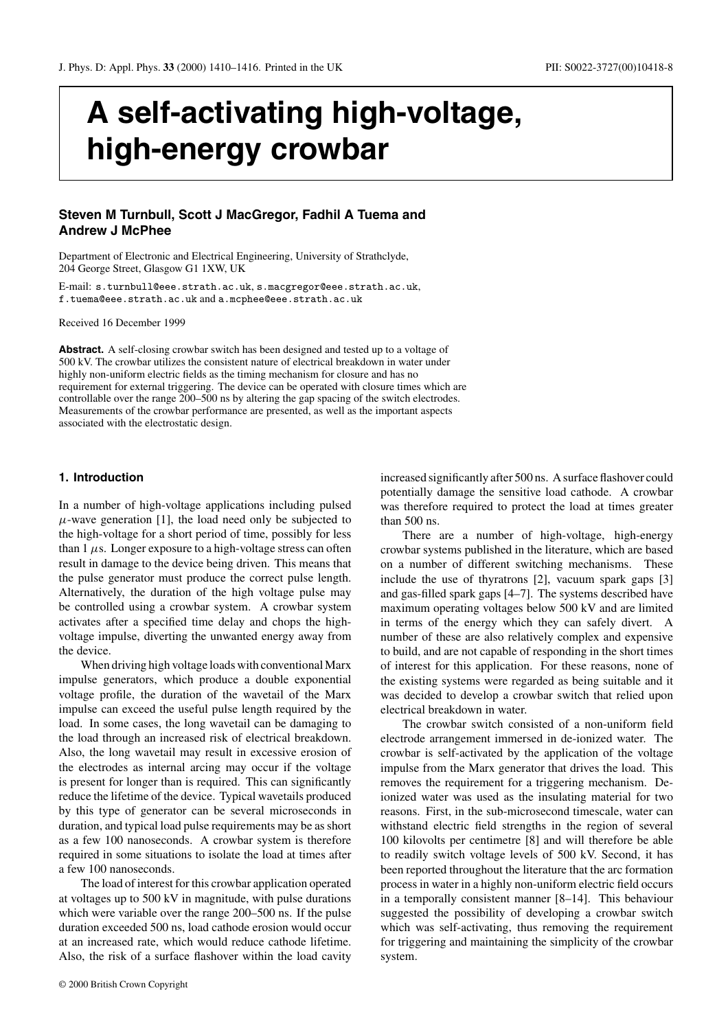# **A self-activating high-voltage, high-energy crowbar**

# **Steven M Turnbull, Scott J MacGregor, Fadhil A Tuema and Andrew J McPhee**

Department of Electronic and Electrical Engineering, University of Strathclyde, 204 George Street, Glasgow G1 1XW, UK

E-mail: s.turnbull@eee.strath.ac.uk, s.macgregor@eee.strath.ac.uk, f.tuema@eee.strath.ac.uk and a.mcphee@eee.strath.ac.uk

Received 16 December 1999

**Abstract.** A self-closing crowbar switch has been designed and tested up to a voltage of 500 kV. The crowbar utilizes the consistent nature of electrical breakdown in water under highly non-uniform electric fields as the timing mechanism for closure and has no requirement for external triggering. The device can be operated with closure times which are controllable over the range 200–500 ns by altering the gap spacing of the switch electrodes. Measurements of the crowbar performance are presented, as well as the important aspects associated with the electrostatic design.

#### **1. Introduction**

In a number of high-voltage applications including pulsed  $\mu$ -wave generation [1], the load need only be subjected to the high-voltage for a short period of time, possibly for less than  $1 \mu s$ . Longer exposure to a high-voltage stress can often result in damage to the device being driven. This means that the pulse generator must produce the correct pulse length. Alternatively, the duration of the high voltage pulse may be controlled using a crowbar system. A crowbar system activates after a specified time delay and chops the highvoltage impulse, diverting the unwanted energy away from the device.

When driving high voltage loads with conventional Marx impulse generators, which produce a double exponential voltage profile, the duration of the wavetail of the Marx impulse can exceed the useful pulse length required by the load. In some cases, the long wavetail can be damaging to the load through an increased risk of electrical breakdown. Also, the long wavetail may result in excessive erosion of the electrodes as internal arcing may occur if the voltage is present for longer than is required. This can significantly reduce the lifetime of the device. Typical wavetails produced by this type of generator can be several microseconds in duration, and typical load pulse requirements may be as short as a few 100 nanoseconds. A crowbar system is therefore required in some situations to isolate the load at times after a few 100 nanoseconds.

The load of interest for this crowbar application operated at voltages up to 500 kV in magnitude, with pulse durations which were variable over the range 200–500 ns. If the pulse duration exceeded 500 ns, load cathode erosion would occur at an increased rate, which would reduce cathode lifetime. Also, the risk of a surface flashover within the load cavity increased significantly after 500 ns. A surface flashover could potentially damage the sensitive load cathode. A crowbar was therefore required to protect the load at times greater than 500 ns.

There are a number of high-voltage, high-energy crowbar systems published in the literature, which are based on a number of different switching mechanisms. These include the use of thyratrons [2], vacuum spark gaps [3] and gas-filled spark gaps [4–7]. The systems described have maximum operating voltages below 500 kV and are limited in terms of the energy which they can safely divert. A number of these are also relatively complex and expensive to build, and are not capable of responding in the short times of interest for this application. For these reasons, none of the existing systems were regarded as being suitable and it was decided to develop a crowbar switch that relied upon electrical breakdown in water.

The crowbar switch consisted of a non-uniform field electrode arrangement immersed in de-ionized water. The crowbar is self-activated by the application of the voltage impulse from the Marx generator that drives the load. This removes the requirement for a triggering mechanism. Deionized water was used as the insulating material for two reasons. First, in the sub-microsecond timescale, water can withstand electric field strengths in the region of several 100 kilovolts per centimetre [8] and will therefore be able to readily switch voltage levels of 500 kV. Second, it has been reported throughout the literature that the arc formation process in water in a highly non-uniform electric field occurs in a temporally consistent manner [8–14]. This behaviour suggested the possibility of developing a crowbar switch which was self-activating, thus removing the requirement for triggering and maintaining the simplicity of the crowbar system.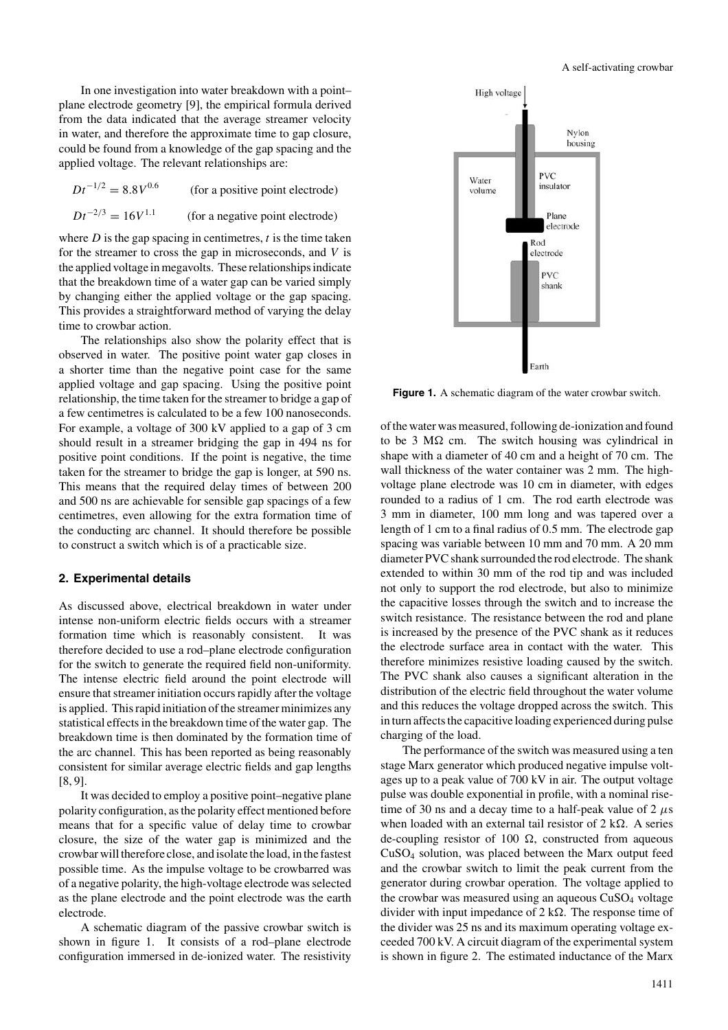In one investigation into water breakdown with a point– plane electrode geometry [9], the empirical formula derived from the data indicated that the average streamer velocity in water, and therefore the approximate time to gap closure, could be found from a knowledge of the gap spacing and the applied voltage. The relevant relationships are:

 $Dt^{-1/2} = 8.8V^{0.6}$  (for a positive point electrode)  $Dt^{-2/3} = 16V^{1.1}$  (for a negative point electrode)

where  $D$  is the gap spacing in centimetres,  $t$  is the time taken for the streamer to cross the gap in microseconds, and  $V$  is the applied voltage in megavolts. These relationships indicate that the breakdown time of a water gap can be varied simply by changing either the applied voltage or the gap spacing. This provides a straightforward method of varying the delay time to crowbar action.

The relationships also show the polarity effect that is observed in water. The positive point water gap closes in a shorter time than the negative point case for the same applied voltage and gap spacing. Using the positive point relationship, the time taken for the streamer to bridge a gap of a few centimetres is calculated to be a few 100 nanoseconds. For example, a voltage of 300 kV applied to a gap of 3 cm should result in a streamer bridging the gap in 494 ns for positive point conditions. If the point is negative, the time taken for the streamer to bridge the gap is longer, at 590 ns. This means that the required delay times of between 200 and 500 ns are achievable for sensible gap spacings of a few centimetres, even allowing for the extra formation time of the conducting arc channel. It should therefore be possible to construct a switch which is of a practicable size.

#### **2. Experimental details**

As discussed above, electrical breakdown in water under intense non-uniform electric fields occurs with a streamer formation time which is reasonably consistent. It was therefore decided to use a rod–plane electrode configuration for the switch to generate the required field non-uniformity. The intense electric field around the point electrode will ensure that streamer initiation occurs rapidly after the voltage is applied. This rapid initiation of the streamer minimizes any statistical effects in the breakdown time of the water gap. The breakdown time is then dominated by the formation time of the arc channel. This has been reported as being reasonably consistent for similar average electric fields and gap lengths [8, 9].

It was decided to employ a positive point–negative plane polarity configuration, as the polarity effect mentioned before means that for a specific value of delay time to crowbar closure, the size of the water gap is minimized and the crowbar will therefore close, and isolate the load, in the fastest possible time. As the impulse voltage to be crowbarred was of a negative polarity, the high-voltage electrode was selected as the plane electrode and the point electrode was the earth electrode.

A schematic diagram of the passive crowbar switch is shown in figure 1. It consists of a rod–plane electrode configuration immersed in de-ionized water. The resistivity



**Figure 1.** A schematic diagram of the water crowbar switch.

of the water was measured, following de-ionization and found to be 3  $M\Omega$  cm. The switch housing was cylindrical in shape with a diameter of 40 cm and a height of 70 cm. The wall thickness of the water container was 2 mm. The highvoltage plane electrode was 10 cm in diameter, with edges rounded to a radius of 1 cm. The rod earth electrode was 3 mm in diameter, 100 mm long and was tapered over a length of 1 cm to a final radius of 0.5 mm. The electrode gap spacing was variable between 10 mm and 70 mm. A 20 mm diameter PVC shank surrounded the rod electrode. The shank extended to within 30 mm of the rod tip and was included not only to support the rod electrode, but also to minimize the capacitive losses through the switch and to increase the switch resistance. The resistance between the rod and plane is increased by the presence of the PVC shank as it reduces the electrode surface area in contact with the water. This therefore minimizes resistive loading caused by the switch. The PVC shank also causes a significant alteration in the distribution of the electric field throughout the water volume and this reduces the voltage dropped across the switch. This in turn affects the capacitive loading experienced during pulse charging of the load.

The performance of the switch was measured using a ten stage Marx generator which produced negative impulse voltages up to a peak value of 700 kV in air. The output voltage pulse was double exponential in profile, with a nominal risetime of 30 ns and a decay time to a half-peak value of 2  $\mu$ s when loaded with an external tail resistor of  $2 \text{ k}\Omega$ . A series de-coupling resistor of 100  $\Omega$ , constructed from aqueous CuSO4 solution, was placed between the Marx output feed and the crowbar switch to limit the peak current from the generator during crowbar operation. The voltage applied to the crowbar was measured using an aqueous CuSO<sub>4</sub> voltage divider with input impedance of  $2 \text{ k}\Omega$ . The response time of the divider was 25 ns and its maximum operating voltage exceeded 700 kV. A circuit diagram of the experimental system is shown in figure 2. The estimated inductance of the Marx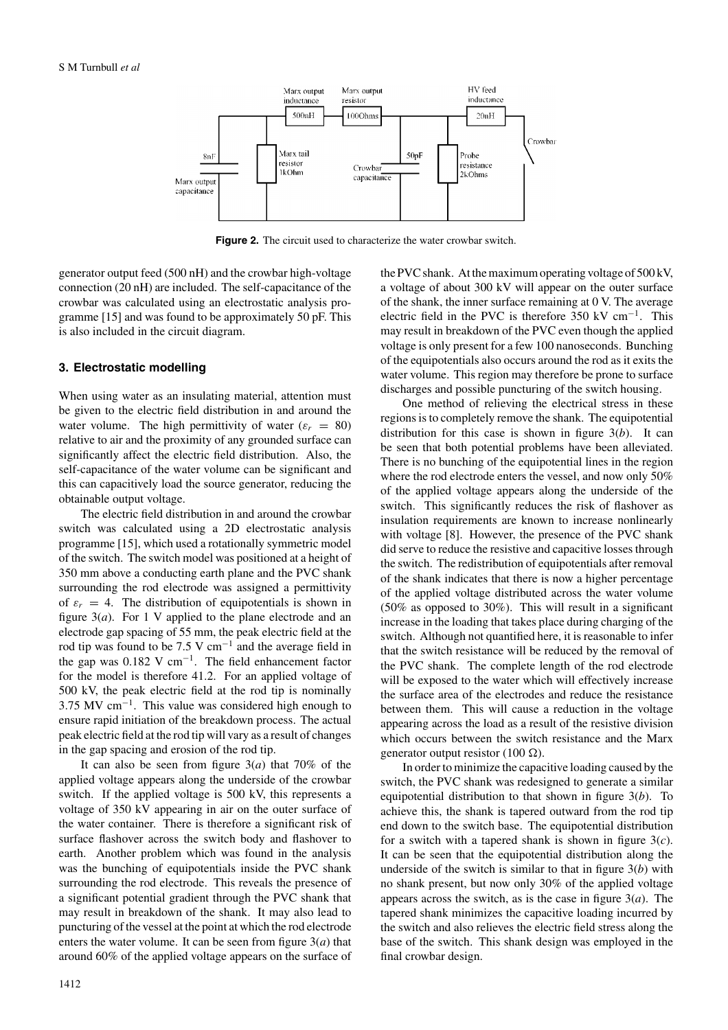

**Figure 2.** The circuit used to characterize the water crowbar switch.

generator output feed (500 nH) and the crowbar high-voltage connection (20 nH) are included. The self-capacitance of the crowbar was calculated using an electrostatic analysis programme [15] and was found to be approximately 50 pF. This is also included in the circuit diagram.

## **3. Electrostatic modelling**

When using water as an insulating material, attention must be given to the electric field distribution in and around the water volume. The high permittivity of water ( $\varepsilon_r = 80$ ) relative to air and the proximity of any grounded surface can significantly affect the electric field distribution. Also, the self-capacitance of the water volume can be significant and this can capacitively load the source generator, reducing the obtainable output voltage.

The electric field distribution in and around the crowbar switch was calculated using a 2D electrostatic analysis programme [15], which used a rotationally symmetric model of the switch. The switch model was positioned at a height of 350 mm above a conducting earth plane and the PVC shank surrounding the rod electrode was assigned a permittivity of  $\varepsilon_r = 4$ . The distribution of equipotentials is shown in figure  $3(a)$ . For 1 V applied to the plane electrode and an electrode gap spacing of 55 mm, the peak electric field at the rod tip was found to be 7.5 V cm−<sup>1</sup> and the average field in the gap was  $0.182$  V cm<sup>-1</sup>. The field enhancement factor for the model is therefore 41.2. For an applied voltage of 500 kV, the peak electric field at the rod tip is nominally 3.75 MV cm−1. This value was considered high enough to ensure rapid initiation of the breakdown process. The actual peak electric field at the rod tip will vary as a result of changes in the gap spacing and erosion of the rod tip.

It can also be seen from figure 3(*a*) that 70% of the applied voltage appears along the underside of the crowbar switch. If the applied voltage is 500 kV, this represents a voltage of 350 kV appearing in air on the outer surface of the water container. There is therefore a significant risk of surface flashover across the switch body and flashover to earth. Another problem which was found in the analysis was the bunching of equipotentials inside the PVC shank surrounding the rod electrode. This reveals the presence of a significant potential gradient through the PVC shank that may result in breakdown of the shank. It may also lead to puncturing of the vessel at the point at which the rod electrode enters the water volume. It can be seen from figure 3(*a*) that around 60% of the applied voltage appears on the surface of

the PVC shank. At the maximum operating voltage of 500 kV, a voltage of about 300 kV will appear on the outer surface of the shank, the inner surface remaining at 0 V. The average electric field in the PVC is therefore 350 kV cm<sup>-1</sup>. This may result in breakdown of the PVC even though the applied voltage is only present for a few 100 nanoseconds. Bunching of the equipotentials also occurs around the rod as it exits the water volume. This region may therefore be prone to surface discharges and possible puncturing of the switch housing.

One method of relieving the electrical stress in these regions is to completely remove the shank. The equipotential distribution for this case is shown in figure 3(*b*). It can be seen that both potential problems have been alleviated. There is no bunching of the equipotential lines in the region where the rod electrode enters the vessel, and now only 50% of the applied voltage appears along the underside of the switch. This significantly reduces the risk of flashover as insulation requirements are known to increase nonlinearly with voltage [8]. However, the presence of the PVC shank did serve to reduce the resistive and capacitive losses through the switch. The redistribution of equipotentials after removal of the shank indicates that there is now a higher percentage of the applied voltage distributed across the water volume (50% as opposed to 30%). This will result in a significant increase in the loading that takes place during charging of the switch. Although not quantified here, it is reasonable to infer that the switch resistance will be reduced by the removal of the PVC shank. The complete length of the rod electrode will be exposed to the water which will effectively increase the surface area of the electrodes and reduce the resistance between them. This will cause a reduction in the voltage appearing across the load as a result of the resistive division which occurs between the switch resistance and the Marx generator output resistor (100  $\Omega$ ).

In order to minimize the capacitive loading caused by the switch, the PVC shank was redesigned to generate a similar equipotential distribution to that shown in figure 3(*b*). To achieve this, the shank is tapered outward from the rod tip end down to the switch base. The equipotential distribution for a switch with a tapered shank is shown in figure 3(*c*). It can be seen that the equipotential distribution along the underside of the switch is similar to that in figure 3(*b*) with no shank present, but now only 30% of the applied voltage appears across the switch, as is the case in figure 3(*a*). The tapered shank minimizes the capacitive loading incurred by the switch and also relieves the electric field stress along the base of the switch. This shank design was employed in the final crowbar design.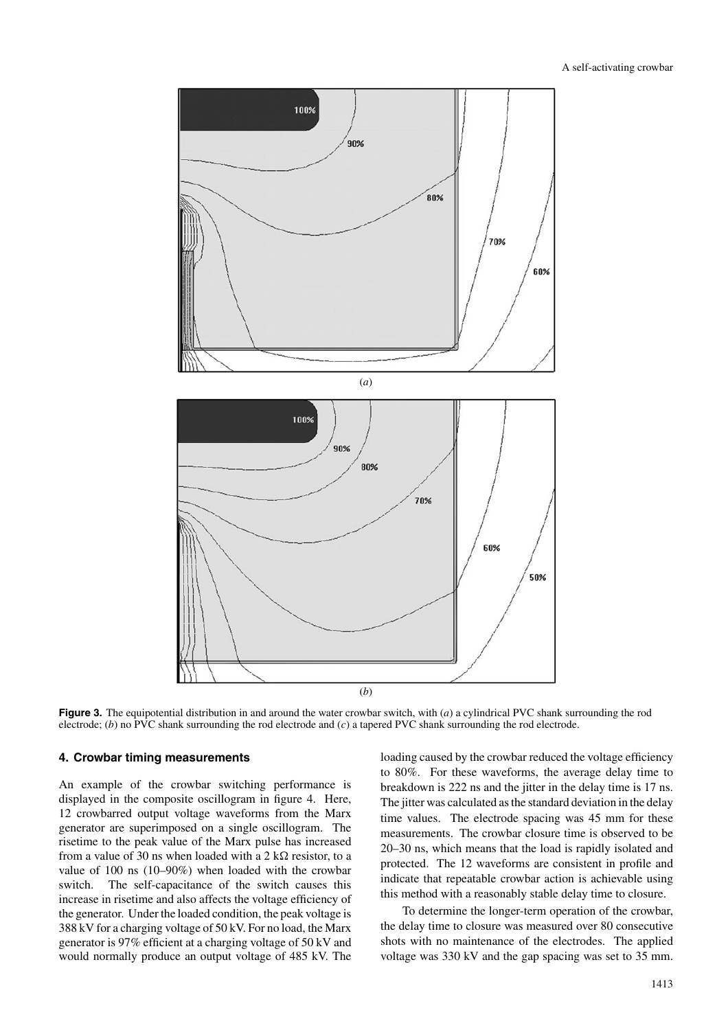

**Figure 3.** The equipotential distribution in and around the water crowbar switch, with (*a*) a cylindrical PVC shank surrounding the rod electrode; (*b*) no PVC shank surrounding the rod electrode and (*c*) a tapered PVC shank surrounding the rod electrode.

#### **4. Crowbar timing measurements**

An example of the crowbar switching performance is displayed in the composite oscillogram in figure 4. Here, 12 crowbarred output voltage waveforms from the Marx generator are superimposed on a single oscillogram. The risetime to the peak value of the Marx pulse has increased from a value of 30 ns when loaded with a 2  $k\Omega$  resistor, to a value of 100 ns (10–90%) when loaded with the crowbar switch. The self-capacitance of the switch causes this increase in risetime and also affects the voltage efficiency of the generator. Under the loaded condition, the peak voltage is 388 kV for a charging voltage of 50 kV. For no load, the Marx generator is 97% efficient at a charging voltage of 50 kV and would normally produce an output voltage of 485 kV. The

loading caused by the crowbar reduced the voltage efficiency to 80%. For these waveforms, the average delay time to breakdown is 222 ns and the jitter in the delay time is 17 ns. The jitter was calculated as the standard deviation in the delay time values. The electrode spacing was 45 mm for these measurements. The crowbar closure time is observed to be 20–30 ns, which means that the load is rapidly isolated and protected. The 12 waveforms are consistent in profile and indicate that repeatable crowbar action is achievable using this method with a reasonably stable delay time to closure.

To determine the longer-term operation of the crowbar, the delay time to closure was measured over 80 consecutive shots with no maintenance of the electrodes. The applied voltage was 330 kV and the gap spacing was set to 35 mm.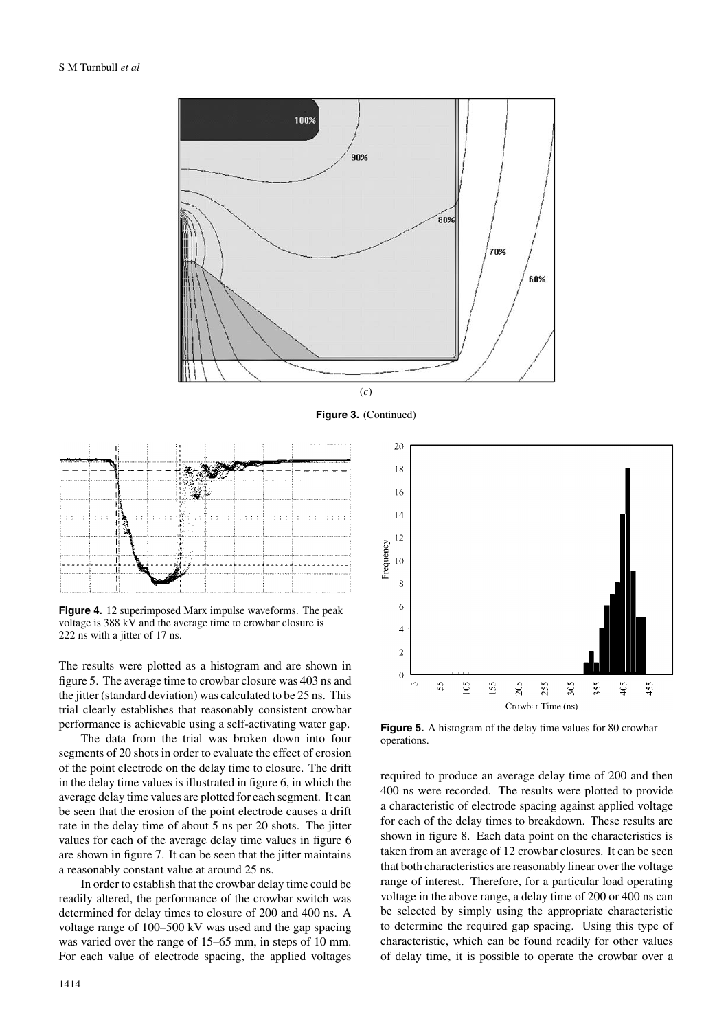

**Figure 3.** (Continued)



**Figure 4.** 12 superimposed Marx impulse waveforms. The peak voltage is 388 kV and the average time to crowbar closure is 222 ns with a jitter of 17 ns.

The results were plotted as a histogram and are shown in figure 5. The average time to crowbar closure was 403 ns and the jitter (standard deviation) was calculated to be 25 ns. This trial clearly establishes that reasonably consistent crowbar performance is achievable using a self-activating water gap.

The data from the trial was broken down into four segments of 20 shots in order to evaluate the effect of erosion of the point electrode on the delay time to closure. The drift in the delay time values is illustrated in figure 6, in which the average delay time values are plotted for each segment. It can be seen that the erosion of the point electrode causes a drift rate in the delay time of about 5 ns per 20 shots. The jitter values for each of the average delay time values in figure 6 are shown in figure 7. It can be seen that the jitter maintains a reasonably constant value at around 25 ns.

In order to establish that the crowbar delay time could be readily altered, the performance of the crowbar switch was determined for delay times to closure of 200 and 400 ns. A voltage range of 100–500 kV was used and the gap spacing was varied over the range of 15–65 mm, in steps of 10 mm. For each value of electrode spacing, the applied voltages



**Figure 5.** A histogram of the delay time values for 80 crowbar operations.

required to produce an average delay time of 200 and then 400 ns were recorded. The results were plotted to provide a characteristic of electrode spacing against applied voltage for each of the delay times to breakdown. These results are shown in figure 8. Each data point on the characteristics is taken from an average of 12 crowbar closures. It can be seen that both characteristics are reasonably linear over the voltage range of interest. Therefore, for a particular load operating voltage in the above range, a delay time of 200 or 400 ns can be selected by simply using the appropriate characteristic to determine the required gap spacing. Using this type of characteristic, which can be found readily for other values of delay time, it is possible to operate the crowbar over a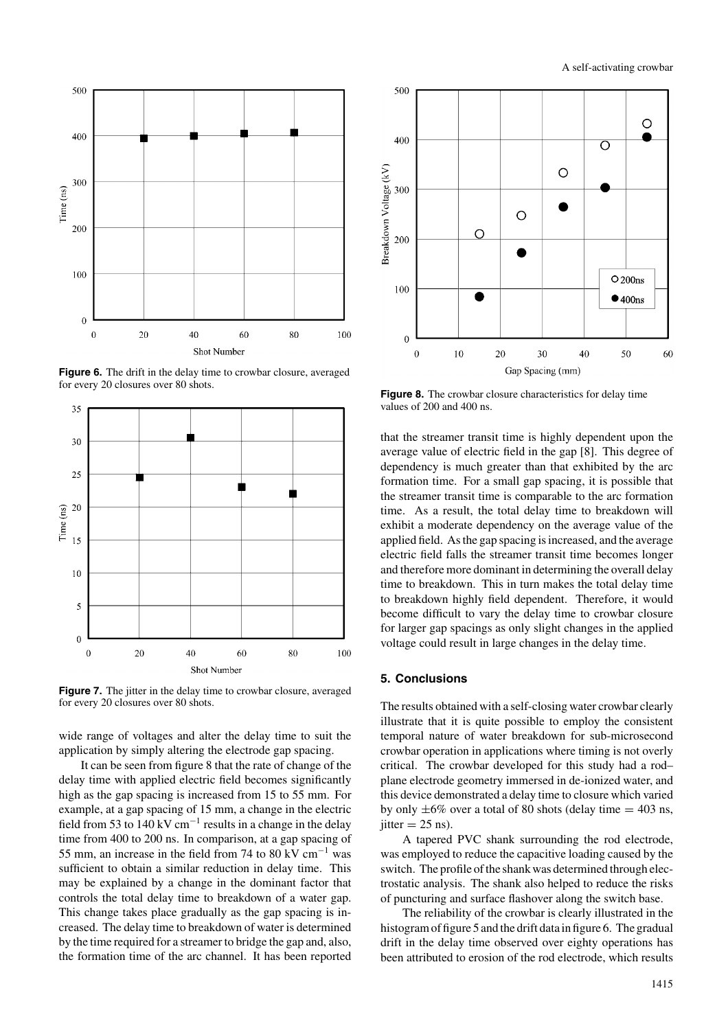

**Figure 6.** The drift in the delay time to crowbar closure, averaged for every 20 closures over 80 shots.



**Figure 7.** The jitter in the delay time to crowbar closure, averaged for every 20 closures over 80 shots.

wide range of voltages and alter the delay time to suit the application by simply altering the electrode gap spacing.

It can be seen from figure 8 that the rate of change of the delay time with applied electric field becomes significantly high as the gap spacing is increased from 15 to 55 mm. For example, at a gap spacing of 15 mm, a change in the electric field from 53 to  $140$  kV cm<sup>-1</sup> results in a change in the delay time from 400 to 200 ns. In comparison, at a gap spacing of 55 mm, an increase in the field from 74 to 80 kV cm−<sup>1</sup> was sufficient to obtain a similar reduction in delay time. This may be explained by a change in the dominant factor that controls the total delay time to breakdown of a water gap. This change takes place gradually as the gap spacing is increased. The delay time to breakdown of water is determined by the time required for a streamer to bridge the gap and, also, the formation time of the arc channel. It has been reported



**Figure 8.** The crowbar closure characteristics for delay time values of 200 and 400 ns.

that the streamer transit time is highly dependent upon the average value of electric field in the gap [8]. This degree of dependency is much greater than that exhibited by the arc formation time. For a small gap spacing, it is possible that the streamer transit time is comparable to the arc formation time. As a result, the total delay time to breakdown will exhibit a moderate dependency on the average value of the applied field. As the gap spacing is increased, and the average electric field falls the streamer transit time becomes longer and therefore more dominant in determining the overall delay time to breakdown. This in turn makes the total delay time to breakdown highly field dependent. Therefore, it would become difficult to vary the delay time to crowbar closure for larger gap spacings as only slight changes in the applied voltage could result in large changes in the delay time.

# **5. Conclusions**

The results obtained with a self-closing water crowbar clearly illustrate that it is quite possible to employ the consistent temporal nature of water breakdown for sub-microsecond crowbar operation in applications where timing is not overly critical. The crowbar developed for this study had a rod– plane electrode geometry immersed in de-ionized water, and this device demonstrated a delay time to closure which varied by only  $\pm 6\%$  over a total of 80 shots (delay time  $= 403$  ns, jitter  $= 25$  ns).

A tapered PVC shank surrounding the rod electrode, was employed to reduce the capacitive loading caused by the switch. The profile of the shank was determined through electrostatic analysis. The shank also helped to reduce the risks of puncturing and surface flashover along the switch base.

The reliability of the crowbar is clearly illustrated in the histogram of figure 5 and the drift data in figure 6. The gradual drift in the delay time observed over eighty operations has been attributed to erosion of the rod electrode, which results